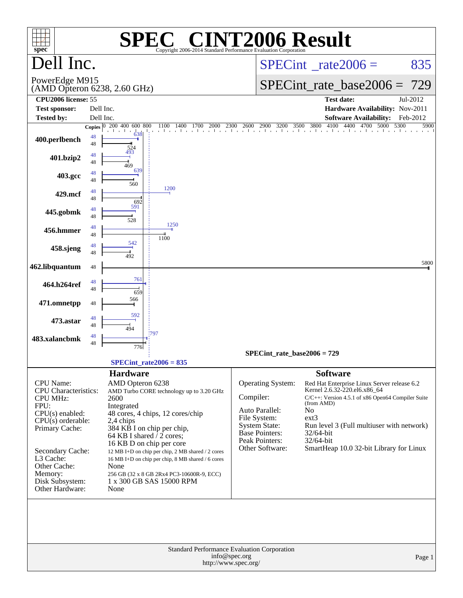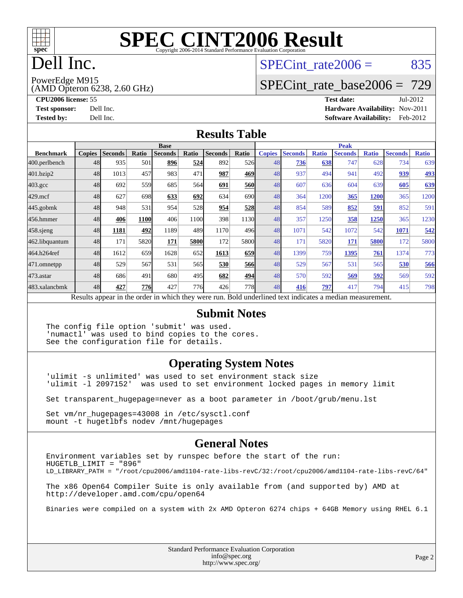

### Dell Inc.

### SPECint rate $2006 = 835$

(AMD Opteron 6238, 2.60 GHz) PowerEdge M915

[SPECint\\_rate\\_base2006 =](http://www.spec.org/auto/cpu2006/Docs/result-fields.html#SPECintratebase2006) 729

**[CPU2006 license:](http://www.spec.org/auto/cpu2006/Docs/result-fields.html#CPU2006license)** 55 **[Test date:](http://www.spec.org/auto/cpu2006/Docs/result-fields.html#Testdate)** Jul-2012 **[Test sponsor:](http://www.spec.org/auto/cpu2006/Docs/result-fields.html#Testsponsor)** Dell Inc. **[Hardware Availability:](http://www.spec.org/auto/cpu2006/Docs/result-fields.html#HardwareAvailability)** Nov-2011 **[Tested by:](http://www.spec.org/auto/cpu2006/Docs/result-fields.html#Testedby)** Dell Inc. **[Software Availability:](http://www.spec.org/auto/cpu2006/Docs/result-fields.html#SoftwareAvailability)** Feb-2012

#### **[Results Table](http://www.spec.org/auto/cpu2006/Docs/result-fields.html#ResultsTable)**

|                                                                                                          | <b>Base</b>   |                |            |                |       | <b>Peak</b>    |            |               |                |              |                |              |                |              |
|----------------------------------------------------------------------------------------------------------|---------------|----------------|------------|----------------|-------|----------------|------------|---------------|----------------|--------------|----------------|--------------|----------------|--------------|
| <b>Benchmark</b>                                                                                         | <b>Copies</b> | <b>Seconds</b> | Ratio      | <b>Seconds</b> | Ratio | <b>Seconds</b> | Ratio      | <b>Copies</b> | <b>Seconds</b> | <b>Ratio</b> | <b>Seconds</b> | <b>Ratio</b> | <b>Seconds</b> | <b>Ratio</b> |
| 400.perlbench                                                                                            | 48            | 935            | 501        | 896            | 524   | 892            | 526I       | 48            | 736            | 638          | 747            | 628          | 734            | 639          |
| 401.bzip2                                                                                                | 48            | 1013           | 457        | 983            | 471   | 987            | 469        | 48            | 937            | 494          | 941            | 492          | 939            | 493          |
| $403.\mathrm{gcc}$                                                                                       | 48            | 692            | 559        | 685            | 564   | 691            | <b>560</b> | 48            | 607            | 636          | 604            | 639          | 605            | 639          |
| $429$ .mcf                                                                                               | 48            | 627            | 698        | 633            | 692   | 634            | 690l       | 48            | 364            | 1200         | 365            | <b>1200</b>  | 365            | 1200         |
| $445$ .gobm $k$                                                                                          | 48            | 948            | 531        | 954            | 528   | 954            | 528        | 48            | 854            | 589          | 852            | <u>591</u>   | 852            | 591          |
| 456.hmmer                                                                                                | 48            | 406            | 1100       | 406            | 1100  | 398            | 1130       | 48            | 357            | 1250         | 358            | 1250         | 365            | 1230         |
| 458 sjeng                                                                                                | 48            | 1181           | 492        | 1189           | 489   | 1170           | 496        | 48            | 1071           | 542          | 1072           | 542          | 1071           | 542          |
| 462.libquantum                                                                                           | 48            | 171            | 5820       | 171            | 5800  | 172            | 5800l      | 48            | 171            | 5820         | 171            | 5800         | 172            | 5800         |
| 464.h264ref                                                                                              | 48            | 1612           | 659        | 1628           | 652   | 1613           | 659        | 48            | 1399           | 759          | 1395           | 761          | 1374           | 773          |
| 471.omnetpp                                                                                              | 48            | 529            | 567        | 531            | 565   | 530            | 566        | 48            | 529            | 567          | 531            | 565          | 530            | 566          |
| $473.$ astar                                                                                             | 48            | 686            | 491        | 680            | 495   | 682            | 494        | 48            | 570            | 592          | 569            | 592          | 569            | 592          |
| 483.xalancbmk                                                                                            | 48            | 427            | <b>776</b> | 427            | 776   | 426            | 778I       | 48            | 416            | 797          | 417            | 794          | 415            | 798          |
| Results appear in the order in which they were run. Bold underlined text indicates a median measurement. |               |                |            |                |       |                |            |               |                |              |                |              |                |              |

#### **[Submit Notes](http://www.spec.org/auto/cpu2006/Docs/result-fields.html#SubmitNotes)**

The config file option 'submit' was used. 'numactl' was used to bind copies to the cores. See the configuration file for details.

### **[Operating System Notes](http://www.spec.org/auto/cpu2006/Docs/result-fields.html#OperatingSystemNotes)**

'ulimit -s unlimited' was used to set environment stack size 'ulimit -l 2097152' was used to set environment locked pages in memory limit

Set transparent\_hugepage=never as a boot parameter in /boot/grub/menu.lst

Set vm/nr\_hugepages=43008 in /etc/sysctl.conf mount -t hugetlbfs nodev /mnt/hugepages

### **[General Notes](http://www.spec.org/auto/cpu2006/Docs/result-fields.html#GeneralNotes)**

Environment variables set by runspec before the start of the run: HUGETLB\_LIMIT = "896" LD\_LIBRARY\_PATH = "/root/cpu2006/amd1104-rate-libs-revC/32:/root/cpu2006/amd1104-rate-libs-revC/64" The x86 Open64 Compiler Suite is only available from (and supported by) AMD at <http://developer.amd.com/cpu/open64> Binaries were compiled on a system with 2x AMD Opteron 6274 chips + 64GB Memory using RHEL 6.1

> Standard Performance Evaluation Corporation [info@spec.org](mailto:info@spec.org) <http://www.spec.org/>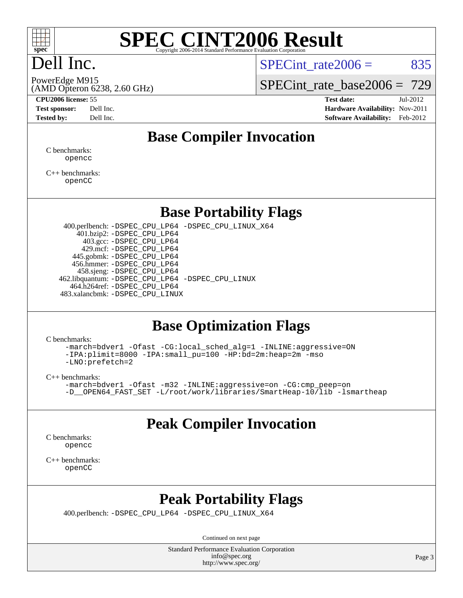

### Dell Inc.

SPECint rate $2006 = 835$ 

PowerEdge M915

(AMD Opteron 6238, 2.60 GHz)

SPECint rate base2006 =  $729$ 

**[CPU2006 license:](http://www.spec.org/auto/cpu2006/Docs/result-fields.html#CPU2006license)** 55 **[Test date:](http://www.spec.org/auto/cpu2006/Docs/result-fields.html#Testdate)** Jul-2012 **[Test sponsor:](http://www.spec.org/auto/cpu2006/Docs/result-fields.html#Testsponsor)** Dell Inc. **[Hardware Availability:](http://www.spec.org/auto/cpu2006/Docs/result-fields.html#HardwareAvailability)** Nov-2011 **[Tested by:](http://www.spec.org/auto/cpu2006/Docs/result-fields.html#Testedby)** Dell Inc. **[Software Availability:](http://www.spec.org/auto/cpu2006/Docs/result-fields.html#SoftwareAvailability)** Feb-2012

### **[Base Compiler Invocation](http://www.spec.org/auto/cpu2006/Docs/result-fields.html#BaseCompilerInvocation)**

[C benchmarks](http://www.spec.org/auto/cpu2006/Docs/result-fields.html#Cbenchmarks): [opencc](http://www.spec.org/cpu2006/results/res2012q3/cpu2006-20120716-23744.flags.html#user_CCbase_Fopencc)

[C++ benchmarks:](http://www.spec.org/auto/cpu2006/Docs/result-fields.html#CXXbenchmarks) [openCC](http://www.spec.org/cpu2006/results/res2012q3/cpu2006-20120716-23744.flags.html#user_CXXbase_FopenCC)

### **[Base Portability Flags](http://www.spec.org/auto/cpu2006/Docs/result-fields.html#BasePortabilityFlags)**

 400.perlbench: [-DSPEC\\_CPU\\_LP64](http://www.spec.org/cpu2006/results/res2012q3/cpu2006-20120716-23744.flags.html#b400.perlbench_basePORTABILITY_DSPEC_CPU_LP64) [-DSPEC\\_CPU\\_LINUX\\_X64](http://www.spec.org/cpu2006/results/res2012q3/cpu2006-20120716-23744.flags.html#b400.perlbench_baseCPORTABILITY_DSPEC_CPU_LINUX_X64) 401.bzip2: [-DSPEC\\_CPU\\_LP64](http://www.spec.org/cpu2006/results/res2012q3/cpu2006-20120716-23744.flags.html#suite_basePORTABILITY401_bzip2_DSPEC_CPU_LP64) 403.gcc: [-DSPEC\\_CPU\\_LP64](http://www.spec.org/cpu2006/results/res2012q3/cpu2006-20120716-23744.flags.html#suite_basePORTABILITY403_gcc_DSPEC_CPU_LP64) 429.mcf: [-DSPEC\\_CPU\\_LP64](http://www.spec.org/cpu2006/results/res2012q3/cpu2006-20120716-23744.flags.html#suite_basePORTABILITY429_mcf_DSPEC_CPU_LP64) 445.gobmk: [-DSPEC\\_CPU\\_LP64](http://www.spec.org/cpu2006/results/res2012q3/cpu2006-20120716-23744.flags.html#suite_basePORTABILITY445_gobmk_DSPEC_CPU_LP64) 456.hmmer: [-DSPEC\\_CPU\\_LP64](http://www.spec.org/cpu2006/results/res2012q3/cpu2006-20120716-23744.flags.html#suite_basePORTABILITY456_hmmer_DSPEC_CPU_LP64) 458.sjeng: [-DSPEC\\_CPU\\_LP64](http://www.spec.org/cpu2006/results/res2012q3/cpu2006-20120716-23744.flags.html#suite_basePORTABILITY458_sjeng_DSPEC_CPU_LP64) 462.libquantum: [-DSPEC\\_CPU\\_LP64](http://www.spec.org/cpu2006/results/res2012q3/cpu2006-20120716-23744.flags.html#suite_basePORTABILITY462_libquantum_DSPEC_CPU_LP64) [-DSPEC\\_CPU\\_LINUX](http://www.spec.org/cpu2006/results/res2012q3/cpu2006-20120716-23744.flags.html#b462.libquantum_baseCPORTABILITY_DSPEC_CPU_LINUX) 464.h264ref: [-DSPEC\\_CPU\\_LP64](http://www.spec.org/cpu2006/results/res2012q3/cpu2006-20120716-23744.flags.html#suite_basePORTABILITY464_h264ref_DSPEC_CPU_LP64) 483.xalancbmk: [-DSPEC\\_CPU\\_LINUX](http://www.spec.org/cpu2006/results/res2012q3/cpu2006-20120716-23744.flags.html#b483.xalancbmk_baseCXXPORTABILITY_DSPEC_CPU_LINUX)

### **[Base Optimization Flags](http://www.spec.org/auto/cpu2006/Docs/result-fields.html#BaseOptimizationFlags)**

[C benchmarks](http://www.spec.org/auto/cpu2006/Docs/result-fields.html#Cbenchmarks):

[-march=bdver1](http://www.spec.org/cpu2006/results/res2012q3/cpu2006-20120716-23744.flags.html#user_CCbase_F-march_fdb9f2653a6b3eaa60be4cf93a9ba5f3) [-Ofast](http://www.spec.org/cpu2006/results/res2012q3/cpu2006-20120716-23744.flags.html#user_CCbase_F-Ofast) [-CG:local\\_sched\\_alg=1](http://www.spec.org/cpu2006/results/res2012q3/cpu2006-20120716-23744.flags.html#user_CCbase_F-CG:local_sched_alg_2175ca61f1a2717f1ec57b14995b9e7a) [-INLINE:aggressive=ON](http://www.spec.org/cpu2006/results/res2012q3/cpu2006-20120716-23744.flags.html#user_CCbase_F-INLINE:aggressive_1968a21fda3b9e485676870015f71302) [-IPA:plimit=8000](http://www.spec.org/cpu2006/results/res2012q3/cpu2006-20120716-23744.flags.html#user_CCbase_F-IPA:plimit_92cba83f3d47f09c7d5368fda93ddbd7) [-IPA:small\\_pu=100](http://www.spec.org/cpu2006/results/res2012q3/cpu2006-20120716-23744.flags.html#user_CCbase_F-IPA:small_pu_900a09767c6929d55c26ea3d32399996) [-HP:bd=2m:heap=2m](http://www.spec.org/cpu2006/results/res2012q3/cpu2006-20120716-23744.flags.html#user_CCbase_F-HUGEPAGE_539c723a9f9bd1bd95cd839aeb740bae) [-mso](http://www.spec.org/cpu2006/results/res2012q3/cpu2006-20120716-23744.flags.html#user_CCbase_F-mso) [-LNO:prefetch=2](http://www.spec.org/cpu2006/results/res2012q3/cpu2006-20120716-23744.flags.html#user_CCbase_F-LNO:prefetch_9aee81855ba0592a3c8a40ba7b041143)

[C++ benchmarks:](http://www.spec.org/auto/cpu2006/Docs/result-fields.html#CXXbenchmarks)

```
-march=bdver1 -Ofast -m32 -INLINE:aggressive=on -CG:cmp_peep=on
-L/root/work/libraries/SmartHeap-10/lib -lsmartheap
```
### **[Peak Compiler Invocation](http://www.spec.org/auto/cpu2006/Docs/result-fields.html#PeakCompilerInvocation)**

[C benchmarks](http://www.spec.org/auto/cpu2006/Docs/result-fields.html#Cbenchmarks): [opencc](http://www.spec.org/cpu2006/results/res2012q3/cpu2006-20120716-23744.flags.html#user_CCpeak_Fopencc)

[C++ benchmarks:](http://www.spec.org/auto/cpu2006/Docs/result-fields.html#CXXbenchmarks) [openCC](http://www.spec.org/cpu2006/results/res2012q3/cpu2006-20120716-23744.flags.html#user_CXXpeak_FopenCC)

### **[Peak Portability Flags](http://www.spec.org/auto/cpu2006/Docs/result-fields.html#PeakPortabilityFlags)**

400.perlbench: [-DSPEC\\_CPU\\_LP64](http://www.spec.org/cpu2006/results/res2012q3/cpu2006-20120716-23744.flags.html#b400.perlbench_peakPORTABILITY_DSPEC_CPU_LP64) [-DSPEC\\_CPU\\_LINUX\\_X64](http://www.spec.org/cpu2006/results/res2012q3/cpu2006-20120716-23744.flags.html#b400.perlbench_peakCPORTABILITY_DSPEC_CPU_LINUX_X64)

Continued on next page

Standard Performance Evaluation Corporation [info@spec.org](mailto:info@spec.org) <http://www.spec.org/>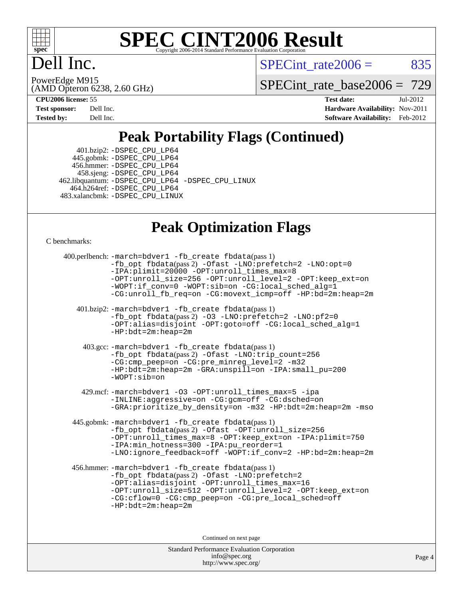

### Dell Inc.

SPECint rate $2006 = 835$ 

(AMD Opteron 6238, 2.60 GHz) PowerEdge M915

[SPECint\\_rate\\_base2006 =](http://www.spec.org/auto/cpu2006/Docs/result-fields.html#SPECintratebase2006) 729

**[CPU2006 license:](http://www.spec.org/auto/cpu2006/Docs/result-fields.html#CPU2006license)** 55 **[Test date:](http://www.spec.org/auto/cpu2006/Docs/result-fields.html#Testdate)** Jul-2012 **[Test sponsor:](http://www.spec.org/auto/cpu2006/Docs/result-fields.html#Testsponsor)** Dell Inc. **[Hardware Availability:](http://www.spec.org/auto/cpu2006/Docs/result-fields.html#HardwareAvailability)** Nov-2011 **[Tested by:](http://www.spec.org/auto/cpu2006/Docs/result-fields.html#Testedby)** Dell Inc. **[Software Availability:](http://www.spec.org/auto/cpu2006/Docs/result-fields.html#SoftwareAvailability)** Feb-2012

### **[Peak Portability Flags \(Continued\)](http://www.spec.org/auto/cpu2006/Docs/result-fields.html#PeakPortabilityFlags)**

 401.bzip2: [-DSPEC\\_CPU\\_LP64](http://www.spec.org/cpu2006/results/res2012q3/cpu2006-20120716-23744.flags.html#suite_peakPORTABILITY401_bzip2_DSPEC_CPU_LP64) 445.gobmk: [-DSPEC\\_CPU\\_LP64](http://www.spec.org/cpu2006/results/res2012q3/cpu2006-20120716-23744.flags.html#suite_peakPORTABILITY445_gobmk_DSPEC_CPU_LP64) 456.hmmer: [-DSPEC\\_CPU\\_LP64](http://www.spec.org/cpu2006/results/res2012q3/cpu2006-20120716-23744.flags.html#suite_peakPORTABILITY456_hmmer_DSPEC_CPU_LP64) 458.sjeng: [-DSPEC\\_CPU\\_LP64](http://www.spec.org/cpu2006/results/res2012q3/cpu2006-20120716-23744.flags.html#suite_peakPORTABILITY458_sjeng_DSPEC_CPU_LP64) 462.libquantum: [-DSPEC\\_CPU\\_LP64](http://www.spec.org/cpu2006/results/res2012q3/cpu2006-20120716-23744.flags.html#suite_peakPORTABILITY462_libquantum_DSPEC_CPU_LP64) [-DSPEC\\_CPU\\_LINUX](http://www.spec.org/cpu2006/results/res2012q3/cpu2006-20120716-23744.flags.html#b462.libquantum_peakCPORTABILITY_DSPEC_CPU_LINUX) 464.h264ref: [-DSPEC\\_CPU\\_LP64](http://www.spec.org/cpu2006/results/res2012q3/cpu2006-20120716-23744.flags.html#suite_peakPORTABILITY464_h264ref_DSPEC_CPU_LP64) 483.xalancbmk: [-DSPEC\\_CPU\\_LINUX](http://www.spec.org/cpu2006/results/res2012q3/cpu2006-20120716-23744.flags.html#b483.xalancbmk_peakCXXPORTABILITY_DSPEC_CPU_LINUX)

### **[Peak Optimization Flags](http://www.spec.org/auto/cpu2006/Docs/result-fields.html#PeakOptimizationFlags)**

[C benchmarks](http://www.spec.org/auto/cpu2006/Docs/result-fields.html#Cbenchmarks):

```
Standard Performance Evaluation Corporation
 400.perlbench: -march=bdver1 -fb_create fbdata(pass 1)
           -fb_opt fbdata(pass 2) -Ofast -LNO:prefetch=2 -LNO:opt=0
           -IPA:plimit=20000 -OPT:unroll_times_max=8
           -OPT:unroll_size=256 -OPT:unroll_level=2 -OPT:keep_ext=on
           -WOPT:if_conv=0 -WOPT:sib=on -CG:local_sched_alg=1
           -CG:unroll_fb_req=on -CG:movext_icmp=off -HP:bd=2m:heap=2m
    401.bzip2: -march=bdver1 -fb_create fbdata(pass 1)
           -fb_opt fbdata(pass 2) -O3 -LNO:prefetch=2 -LNO:pf2=0
           -OPT:alias=disjoint -OPT:goto=off -CG:local_sched_alg=1
           -HP:bdt=2m:heap=2m
     403.gcc: -march=bdver1 -fb_create fbdata(pass 1)
           -fb_opt fbdata(pass 2) -Ofast -LNO:trip_count=256
           -CG:cmp_peep=on -CG:pre_minreg_level=2 -m32
           -HP:bdt=2m:heap=2m -GRA:unspill=on -IPA:small_pu=200
           -WOPT:sib=on
     429.mcf: -march=bdver1 -O3 -OPT:unroll_times_max=5 -ipa
           -INLINE:aggressive=on -CG:gcm=off -CG:dsched=on
           -GRA:prioritize_by_density=on -m32 -HP:bdt=2m:heap=2m -mso
   445.gobmk: -march=bdver1 -fb_create fbdata(pass 1)
           -fb_opt fbdata(pass 2) -Ofast -OPT:unroll_size=256
           -OPT:unroll_times_max=8 -OPT:keep_ext=on -IPA:plimit=750
           -IPA:min_hotness=300 -IPA:pu_reorder=1
           -LNO:ignore_feedback=off -WOPT:if_conv=2 -HP:bd=2m:heap=2m
  456.hmmer: -march=bdver1 -fb_create fbdata(pass 1)
           -fb_opt fbdata(pass 2) -Ofast -LNO:prefetch=2
           -OPT:alias=disjoint -OPT:unroll_times_max=16
           -OPT:unroll_size=512 -OPT:unroll_level=2 -OPT:keep_ext=on
           -CG:cflow=0 -CG:cmp_peep=on -CG:pre_local_sched=off
           -HP:bdt=2m:heap=2m
                                Continued on next page
```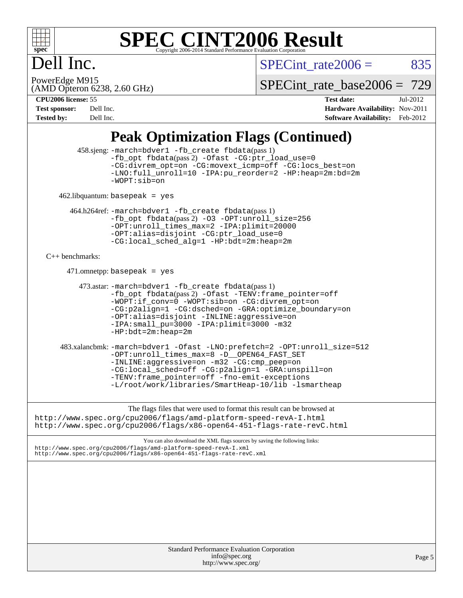

### Dell Inc.

 $SPECTnt_rate2006 = 835$ 

(AMD Opteron 6238, 2.60 GHz) PowerEdge M915

[SPECint\\_rate\\_base2006 =](http://www.spec.org/auto/cpu2006/Docs/result-fields.html#SPECintratebase2006) 729

| <b>Test sponsor:</b> | Dell Inc. |
|----------------------|-----------|
| <b>Tested by:</b>    | Dell Inc. |

**[CPU2006 license:](http://www.spec.org/auto/cpu2006/Docs/result-fields.html#CPU2006license)** 55 **[Test date:](http://www.spec.org/auto/cpu2006/Docs/result-fields.html#Testdate)** Jul-2012 **[Hardware Availability:](http://www.spec.org/auto/cpu2006/Docs/result-fields.html#HardwareAvailability)** Nov-2011 **[Software Availability:](http://www.spec.org/auto/cpu2006/Docs/result-fields.html#SoftwareAvailability)** Feb-2012

### **[Peak Optimization Flags \(Continued\)](http://www.spec.org/auto/cpu2006/Docs/result-fields.html#PeakOptimizationFlags)**

| $458 \text{.}$ sieng: -march=bdver1 -fb create fbdata(pass 1)<br>-fb_opt fbdata(pass 2) -Ofast -CG:ptr_load_use=0<br>-CG:divrem_opt=on -CG:movext_icmp=off -CG:locs_best=on<br>-LNO:full unroll=10 -IPA:pu reorder=2 -HP:heap=2m:bd=2m<br>-WOPT:sib=on                                                                                        |        |
|-----------------------------------------------------------------------------------------------------------------------------------------------------------------------------------------------------------------------------------------------------------------------------------------------------------------------------------------------|--------|
| $462$ .libquantum: basepeak = yes                                                                                                                                                                                                                                                                                                             |        |
| 464.h264ref: -march=bdver1 -fb_create fbdata(pass 1)<br>-fb_opt fbdata(pass 2) -03 -OPT:unroll_size=256<br>-OPT:unroll_times_max=2 -IPA:plimit=20000<br>-OPT:alias=disjoint -CG:ptr_load_use=0<br>-CG:local sched alg=1 -HP:bdt=2m:heap=2m                                                                                                    |        |
| $C_{++}$ benchmarks:                                                                                                                                                                                                                                                                                                                          |        |
| $471.$ omnetpp: basepeak = yes                                                                                                                                                                                                                                                                                                                |        |
| $473$ .astar: -march=bdver1 -fb create fbdata(pass 1)<br>-fb_opt fbdata(pass 2) -Ofast -TENV: frame_pointer=off<br>-WOPT:if_conv=0 -WOPT:sib=on -CG:divrem_opt=on<br>-CG:p2align=1 -CG:dsched=on -GRA:optimize_boundary=on<br>-OPT:alias=disjoint -INLINE:aggressive=on<br>-IPA: small_pu=3000 -IPA: plimit=3000 -m32<br>$-HP:bdt=2m:heap=2m$ |        |
| 483.xalancbmk: -march=bdver1 -Ofast -LNO:prefetch=2 -OPT:unroll_size=512<br>-OPT:unroll_times_max=8 -D__OPEN64_FAST_SET<br>-INLINE:aggressive=on -m32 -CG:cmp_peep=on<br>-CG:local_sched=off -CG:p2align=1 -GRA:unspill=on<br>-TENV: frame_pointer=off -fno-emit-exceptions<br>-L/root/work/libraries/SmartHeap-10/lib -lsmartheap            |        |
| The flags files that were used to format this result can be browsed at<br>http://www.spec.org/cpu2006/flags/amd-platform-speed-revA-I.html<br>http://www.spec.org/cpu2006/flags/x86-open64-451-flags-rate-revC.html                                                                                                                           |        |
| You can also download the XML flags sources by saving the following links:<br>http://www.spec.org/cpu2006/flags/amd-platform-speed-revA-I.xml<br>http://www.spec.org/cpu2006/flags/x86-open64-451-flags-rate-revC.xml                                                                                                                         |        |
|                                                                                                                                                                                                                                                                                                                                               |        |
| Standard Performance Evaluation Corporation<br>info@spec.org<br>http://www.spec.org/                                                                                                                                                                                                                                                          | Page 5 |